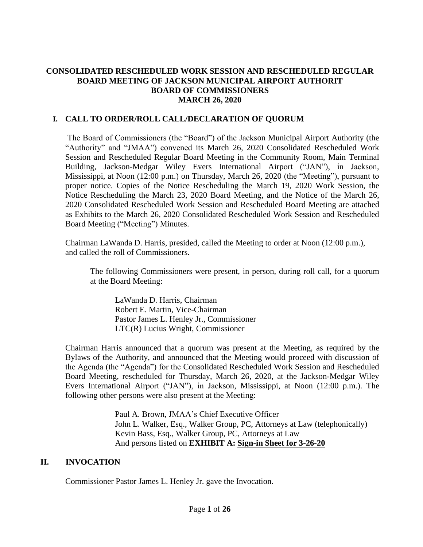### **CONSOLIDATED RESCHEDULED WORK SESSION AND RESCHEDULED REGULAR BOARD MEETING OF JACKSON MUNICIPAL AIRPORT AUTHORIT BOARD OF COMMISSIONERS MARCH 26, 2020**

### **I. CALL TO ORDER/ROLL CALL/DECLARATION OF QUORUM**

The Board of Commissioners (the "Board") of the Jackson Municipal Airport Authority (the "Authority" and "JMAA") convened its March 26, 2020 Consolidated Rescheduled Work Session and Rescheduled Regular Board Meeting in the Community Room, Main Terminal Building, Jackson-Medgar Wiley Evers International Airport ("JAN"), in Jackson, Mississippi, at Noon (12:00 p.m.) on Thursday, March 26, 2020 (the "Meeting"), pursuant to proper notice. Copies of the Notice Rescheduling the March 19, 2020 Work Session, the Notice Rescheduling the March 23, 2020 Board Meeting, and the Notice of the March 26, 2020 Consolidated Rescheduled Work Session and Rescheduled Board Meeting are attached as Exhibits to the March 26, 2020 Consolidated Rescheduled Work Session and Rescheduled Board Meeting ("Meeting") Minutes.

Chairman LaWanda D. Harris, presided, called the Meeting to order at Noon (12:00 p.m.), and called the roll of Commissioners.

The following Commissioners were present, in person, during roll call, for a quorum at the Board Meeting:

LaWanda D. Harris, Chairman Robert E. Martin, Vice-Chairman Pastor James L. Henley Jr., Commissioner LTC(R) Lucius Wright, Commissioner

Chairman Harris announced that a quorum was present at the Meeting, as required by the Bylaws of the Authority, and announced that the Meeting would proceed with discussion of the Agenda (the "Agenda") for the Consolidated Rescheduled Work Session and Rescheduled Board Meeting, rescheduled for Thursday, March 26, 2020, at the Jackson-Medgar Wiley Evers International Airport ("JAN"), in Jackson, Mississippi, at Noon (12:00 p.m.). The following other persons were also present at the Meeting:

> Paul A. Brown, JMAA's Chief Executive Officer John L. Walker, Esq., Walker Group, PC, Attorneys at Law (telephonically) Kevin Bass, Esq., Walker Group, PC, Attorneys at Law And persons listed on **EXHIBIT A: Sign[-in](file:///C:/Users/kevin/AppData/Local/Microsoft/Windows/Temporary%20Internet%20Files/2019-01-28%20Board%20Meeting/2017-07-27%20Board%20Meeting/2016-09-22%20Board%20Meeting/Rescheduled%20Regular%20Board%20Meeting%20Sign%20in%20Sheet%20August%2029%202016.pdf) Sheet for 3-26-20**

### **II. INVOCATION**

Commissioner Pastor James L. Henley Jr. gave the Invocation.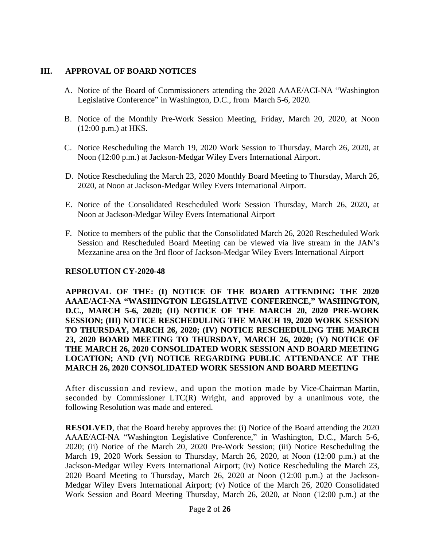#### **III. APPROVAL OF BOARD NOTICES**

- A. Notice of the Board of Commissioners attending the 2020 AAAE/ACI-NA "Washington Legislative Conference" in Washington, D.C., from March 5-6, 2020.
- B. Notice of the Monthly Pre-Work Session Meeting, Friday, March 20, 2020, at Noon (12:00 p.m.) at HKS.
- C. Notice Rescheduling the March 19, 2020 Work Session to Thursday, March 26, 2020, at Noon (12:00 p.m.) at Jackson-Medgar Wiley Evers International Airport.
- D. Notice Rescheduling the March 23, 2020 Monthly Board Meeting to Thursday, March 26, 2020, at Noon at Jackson-Medgar Wiley Evers International Airport.
- E. Notice of the Consolidated Rescheduled Work Session Thursday, March 26, 2020, at Noon at Jackson-Medgar Wiley Evers International Airport
- F. Notice to members of the public that the Consolidated March 26, 2020 Rescheduled Work Session and Rescheduled Board Meeting can be viewed via live stream in the JAN's Mezzanine area on the 3rd floor of Jackson-Medgar Wiley Evers International Airport

#### **RESOLUTION CY-2020-48**

**APPROVAL OF THE: (I) NOTICE OF THE BOARD ATTENDING THE 2020 AAAE/ACI-NA "WASHINGTON LEGISLATIVE CONFERENCE," WASHINGTON, D.C., MARCH 5-6, 2020; (II) NOTICE OF THE MARCH 20, 2020 PRE-WORK SESSION; (III) NOTICE RESCHEDULING THE MARCH 19, 2020 WORK SESSION TO THURSDAY, MARCH 26, 2020; (IV) NOTICE RESCHEDULING THE MARCH 23, 2020 BOARD MEETING TO THURSDAY, MARCH 26, 2020; (V) NOTICE OF THE MARCH 26, 2020 CONSOLIDATED WORK SESSION AND BOARD MEETING LOCATION; AND (VI) NOTICE REGARDING PUBLIC ATTENDANCE AT THE MARCH 26, 2020 CONSOLIDATED WORK SESSION AND BOARD MEETING**

After discussion and review, and upon the motion made by Vice-Chairman Martin, seconded by Commissioner LTC(R) Wright, and approved by a unanimous vote, the following Resolution was made and entered.

**RESOLVED**, that the Board hereby approves the: (i) Notice of the Board attending the 2020 AAAE/ACI-NA "Washington Legislative Conference," in Washington, D.C., March 5-6, 2020; (ii) Notice of the March 20, 2020 Pre-Work Session; (iii) Notice Rescheduling the March 19, 2020 Work Session to Thursday, March 26, 2020, at Noon (12:00 p.m.) at the Jackson-Medgar Wiley Evers International Airport; (iv) Notice Rescheduling the March 23, 2020 Board Meeting to Thursday, March 26, 2020 at Noon (12:00 p.m.) at the Jackson-Medgar Wiley Evers International Airport; (v) Notice of the March 26, 2020 Consolidated Work Session and Board Meeting Thursday, March 26, 2020, at Noon (12:00 p.m.) at the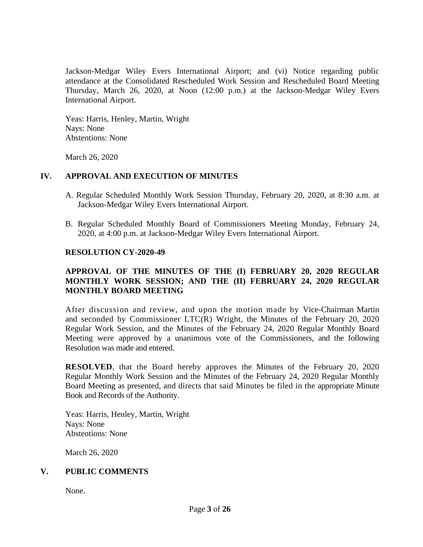Jackson-Medgar Wiley Evers International Airport; and (vi) Notice regarding public attendance at the Consolidated Rescheduled Work Session and Rescheduled Board Meeting Thursday, March 26, 2020, at Noon (12:00 p.m.) at the Jackson-Medgar Wiley Evers International Airport.

Yeas: Harris, Henley, Martin, Wright Nays: None Abstentions: None

March 26, 2020

#### **IV. APPROVAL AND EXECUTION OF MINUTES**

- A. Regular Scheduled Monthly Work Session Thursday, February 20, 2020, at 8:30 a.m. at Jackson-Medgar Wiley Evers International Airport.
- B. Regular Scheduled Monthly Board of Commissioners Meeting Monday, February 24, 2020, at 4:00 p.m. at Jackson-Medgar Wiley Evers International Airport.

#### **RESOLUTION CY-2020-49**

## **APPROVAL OF THE MINUTES OF THE (I) FEBRUARY 20, 2020 REGULAR MONTHLY WORK SESSION; AND THE (II) FEBRUARY 24, 2020 REGULAR MONTHLY BOARD MEETING**

After discussion and review, and upon the motion made by Vice-Chairman Martin and seconded by Commissioner LTC(R) Wright, the Minutes of the February 20, 2020 Regular Work Session, and the Minutes of the February 24, 2020 Regular Monthly Board Meeting were approved by a unanimous vote of the Commissioners, and the following Resolution was made and entered.

**RESOLVED**, that the Board hereby approves the Minutes of the February 20, 2020 Regular Monthly Work Session and the Minutes of the February 24, 2020 Regular Monthly Board Meeting as presented, and directs that said Minutes be filed in the appropriate Minute Book and Records of the Authority.

Yeas: Harris, Henley, Martin, Wright Nays: None Abstentions: None

March 26, 2020

### **V. PUBLIC COMMENTS**

None.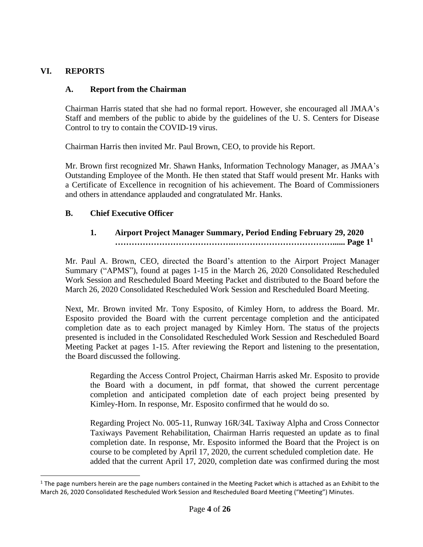## **VI. REPORTS**

## **A. Report from the Chairman**

Chairman Harris stated that she had no formal report. However, she encouraged all JMAA's Staff and members of the public to abide by the guidelines of the U. S. Centers for Disease Control to try to contain the COVID-19 virus.

Chairman Harris then invited Mr. Paul Brown, CEO, to provide his Report.

Mr. Brown first recognized Mr. Shawn Hanks, Information Technology Manager, as JMAA's Outstanding Employee of the Month. He then stated that Staff would present Mr. Hanks with a Certificate of Excellence in recognition of his achievement. The Board of Commissioners and others in attendance applauded and congratulated Mr. Hanks.

## **B. Chief Executive Officer**

## **1. Airport Project Manager Summary, Period Ending February 29, 2020 …………………………………….………………………………...... Page 1<sup>1</sup>**

Mr. Paul A. Brown, CEO, directed the Board's attention to the Airport Project Manager Summary ("APMS"), found at pages 1-15 in the March 26, 2020 Consolidated Rescheduled Work Session and Rescheduled Board Meeting Packet and distributed to the Board before the March 26, 2020 Consolidated Rescheduled Work Session and Rescheduled Board Meeting.

Next, Mr. Brown invited Mr. Tony Esposito, of Kimley Horn, to address the Board. Mr. Esposito provided the Board with the current percentage completion and the anticipated completion date as to each project managed by Kimley Horn. The status of the projects presented is included in the Consolidated Rescheduled Work Session and Rescheduled Board Meeting Packet at pages 1-15. After reviewing the Report and listening to the presentation, the Board discussed the following.

Regarding the Access Control Project, Chairman Harris asked Mr. Esposito to provide the Board with a document, in pdf format, that showed the current percentage completion and anticipated completion date of each project being presented by Kimley-Horn. In response, Mr. Esposito confirmed that he would do so.

Regarding Project No. 005-11, Runway 16R/34L Taxiway Alpha and Cross Connector Taxiways Pavement Rehabilitation, Chairman Harris requested an update as to final completion date. In response, Mr. Esposito informed the Board that the Project is on course to be completed by April 17, 2020, the current scheduled completion date. He added that the current April 17, 2020, completion date was confirmed during the most

 $1$  The page numbers herein are the page numbers contained in the Meeting Packet which is attached as an Exhibit to the March 26, 2020 Consolidated Rescheduled Work Session and Rescheduled Board Meeting ("Meeting") Minutes.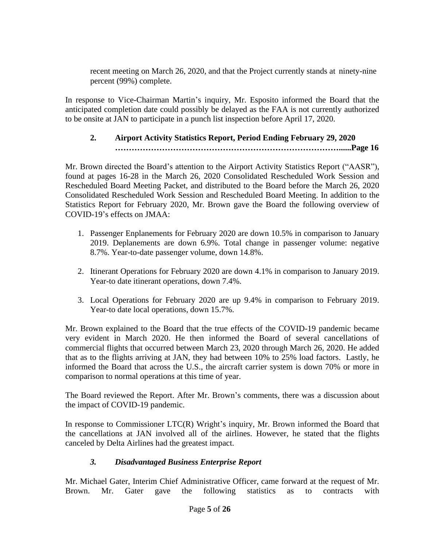recent meeting on March 26, 2020, and that the Project currently stands at ninety-nine percent (99%) complete.

In response to Vice-Chairman Martin's inquiry, Mr. Esposito informed the Board that the anticipated completion date could possibly be delayed as the FAA is not currently authorized to be onsite at JAN to participate in a punch list inspection before April 17, 2020.

# **2. Airport Activity Statistics Report, Period Ending February 29, 2020 ………………………………………………………………………......Page 16**

Mr. Brown directed the Board's attention to the Airport Activity Statistics Report ("AASR"), found at pages 16-28 in the March 26, 2020 Consolidated Rescheduled Work Session and Rescheduled Board Meeting Packet, and distributed to the Board before the March 26, 2020 Consolidated Rescheduled Work Session and Rescheduled Board Meeting. In addition to the Statistics Report for February 2020, Mr. Brown gave the Board the following overview of COVID-19's effects on JMAA:

- 1. Passenger Enplanements for February 2020 are down 10.5% in comparison to January 2019. Deplanements are down 6.9%. Total change in passenger volume: negative 8.7%. Year-to-date passenger volume, down 14.8%.
- 2. Itinerant Operations for February 2020 are down 4.1% in comparison to January 2019. Year-to date itinerant operations, down 7.4%.
- 3. Local Operations for February 2020 are up 9.4% in comparison to February 2019. Year-to date local operations, down 15.7%.

Mr. Brown explained to the Board that the true effects of the COVID-19 pandemic became very evident in March 2020. He then informed the Board of several cancellations of commercial flights that occurred between March 23, 2020 through March 26, 2020. He added that as to the flights arriving at JAN, they had between 10% to 25% load factors. Lastly, he informed the Board that across the U.S., the aircraft carrier system is down 70% or more in comparison to normal operations at this time of year.

The Board reviewed the Report. After Mr. Brown's comments, there was a discussion about the impact of COVID-19 pandemic.

In response to Commissioner LTC(R) Wright's inquiry, Mr. Brown informed the Board that the cancellations at JAN involved all of the airlines. However, he stated that the flights canceled by Delta Airlines had the greatest impact.

# *3. Disadvantaged Business Enterprise Report*

Mr. Michael Gater, Interim Chief Administrative Officer, came forward at the request of Mr. Brown. Mr. Gater gave the following statistics as to contracts with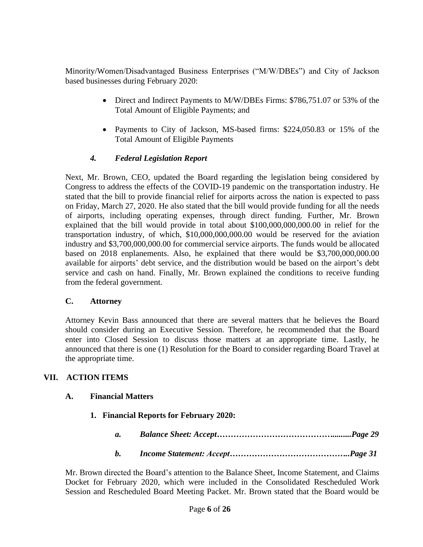Minority/Women/Disadvantaged Business Enterprises ("M/W/DBEs") and City of Jackson based businesses during February 2020:

- Direct and Indirect Payments to M/W/DBEs Firms: \$786,751.07 or 53% of the Total Amount of Eligible Payments; and
- Payments to City of Jackson, MS-based firms: \$224,050.83 or 15% of the Total Amount of Eligible Payments

# *4. Federal Legislation Report*

Next, Mr. Brown, CEO, updated the Board regarding the legislation being considered by Congress to address the effects of the COVID-19 pandemic on the transportation industry. He stated that the bill to provide financial relief for airports across the nation is expected to pass on Friday, March 27, 2020. He also stated that the bill would provide funding for all the needs of airports, including operating expenses, through direct funding. Further, Mr. Brown explained that the bill would provide in total about \$100,000,000,000.00 in relief for the transportation industry, of which, \$10,000,000,000.00 would be reserved for the aviation industry and \$3,700,000,000.00 for commercial service airports. The funds would be allocated based on 2018 enplanements. Also, he explained that there would be \$3,700,000,000.00 available for airports' debt service, and the distribution would be based on the airport's debt service and cash on hand. Finally, Mr. Brown explained the conditions to receive funding from the federal government.

### **C. Attorney**

Attorney Kevin Bass announced that there are several matters that he believes the Board should consider during an Executive Session. Therefore, he recommended that the Board enter into Closed Session to discuss those matters at an appropriate time. Lastly, he announced that there is one (1) Resolution for the Board to consider regarding Board Travel at the appropriate time.

# **VII. ACTION ITEMS**

### **A. Financial Matters**

- **1. Financial Reports for February 2020:**
	- *a. Balance Sheet: Accept…………………………………….........Page 29*
	- *b. Income Statement: Accept……………………………………..Page 31*

Mr. Brown directed the Board's attention to the Balance Sheet, Income Statement, and Claims Docket for February 2020, which were included in the Consolidated Rescheduled Work Session and Rescheduled Board Meeting Packet. Mr. Brown stated that the Board would be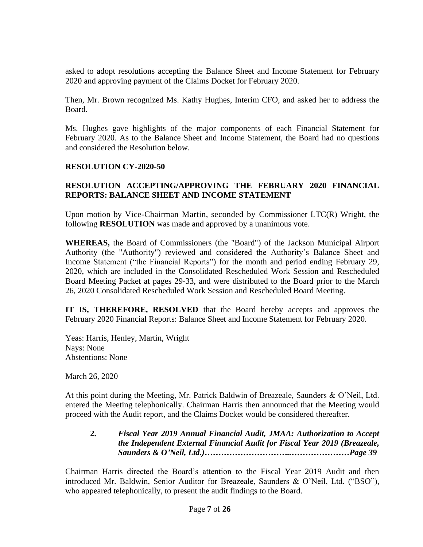asked to adopt resolutions accepting the Balance Sheet and Income Statement for February 2020 and approving payment of the Claims Docket for February 2020.

Then, Mr. Brown recognized Ms. Kathy Hughes, Interim CFO, and asked her to address the Board.

Ms. Hughes gave highlights of the major components of each Financial Statement for February 2020. As to the Balance Sheet and Income Statement, the Board had no questions and considered the Resolution below.

### **RESOLUTION CY-2020-50**

### **RESOLUTION ACCEPTING/APPROVING THE FEBRUARY 2020 FINANCIAL REPORTS: BALANCE SHEET AND INCOME STATEMENT**

Upon motion by Vice-Chairman Martin, seconded by Commissioner LTC(R) Wright, the following **RESOLUTION** was made and approved by a unanimous vote.

**WHEREAS,** the Board of Commissioners (the "Board") of the Jackson Municipal Airport Authority (the "Authority") reviewed and considered the Authority's Balance Sheet and Income Statement ("the Financial Reports") for the month and period ending February 29, 2020, which are included in the Consolidated Rescheduled Work Session and Rescheduled Board Meeting Packet at pages 29-33, and were distributed to the Board prior to the March 26, 2020 Consolidated Rescheduled Work Session and Rescheduled Board Meeting.

**IT IS, THEREFORE, RESOLVED** that the Board hereby accepts and approves the February 2020 Financial Reports: Balance Sheet and Income Statement for February 2020.

Yeas: Harris, Henley, Martin, Wright Nays: None Abstentions: None

March 26, 2020

At this point during the Meeting, Mr. Patrick Baldwin of Breazeale, Saunders & O'Neil, Ltd. entered the Meeting telephonically. Chairman Harris then announced that the Meeting would proceed with the Audit report, and the Claims Docket would be considered thereafter.

**2.** *Fiscal Year 2019 Annual Financial Audit, JMAA: Authorization to Accept the Independent External Financial Audit for Fiscal Year 2019 (Breazeale, Saunders & O'Neil, Ltd.)…………………………..…………………Page 39*

Chairman Harris directed the Board's attention to the Fiscal Year 2019 Audit and then introduced Mr. Baldwin, Senior Auditor for Breazeale, Saunders & O'Neil, Ltd. ("BSO"), who appeared telephonically, to present the audit findings to the Board.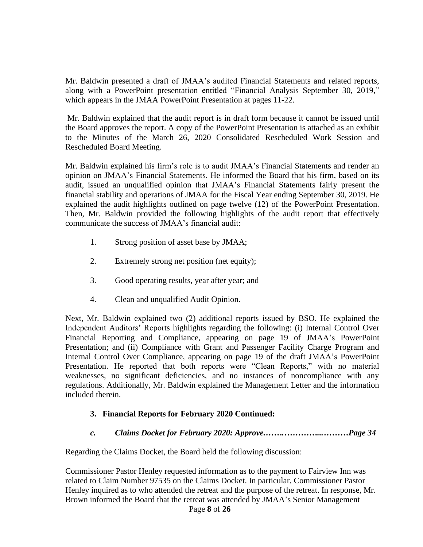Mr. Baldwin presented a draft of JMAA's audited Financial Statements and related reports, along with a PowerPoint presentation entitled "Financial Analysis September 30, 2019," which appears in the JMAA PowerPoint Presentation at pages 11-22.

Mr. Baldwin explained that the audit report is in draft form because it cannot be issued until the Board approves the report. A copy of the PowerPoint Presentation is attached as an exhibit to the Minutes of the March 26, 2020 Consolidated Rescheduled Work Session and Rescheduled Board Meeting.

Mr. Baldwin explained his firm's role is to audit JMAA's Financial Statements and render an opinion on JMAA's Financial Statements. He informed the Board that his firm, based on its audit, issued an unqualified opinion that JMAA's Financial Statements fairly present the financial stability and operations of JMAA for the Fiscal Year ending September 30, 2019. He explained the audit highlights outlined on page twelve (12) of the PowerPoint Presentation. Then, Mr. Baldwin provided the following highlights of the audit report that effectively communicate the success of JMAA's financial audit:

- 1. Strong position of asset base by JMAA;
- 2. Extremely strong net position (net equity);
- 3. Good operating results, year after year; and
- 4. Clean and unqualified Audit Opinion.

Next, Mr. Baldwin explained two (2) additional reports issued by BSO. He explained the Independent Auditors' Reports highlights regarding the following: (i) Internal Control Over Financial Reporting and Compliance, appearing on page 19 of JMAA's PowerPoint Presentation; and (ii) Compliance with Grant and Passenger Facility Charge Program and Internal Control Over Compliance, appearing on page 19 of the draft JMAA's PowerPoint Presentation. He reported that both reports were "Clean Reports," with no material weaknesses, no significant deficiencies, and no instances of noncompliance with any regulations. Additionally, Mr. Baldwin explained the Management Letter and the information included therein.

### **3. Financial Reports for February 2020 Continued:**

*c. Claims Docket for February 2020: Approve.…….…………...………Page 34*

Regarding the Claims Docket, the Board held the following discussion:

Page **8** of **26** Commissioner Pastor Henley requested information as to the payment to Fairview Inn was related to Claim Number 97535 on the Claims Docket. In particular, Commissioner Pastor Henley inquired as to who attended the retreat and the purpose of the retreat. In response, Mr. Brown informed the Board that the retreat was attended by JMAA's Senior Management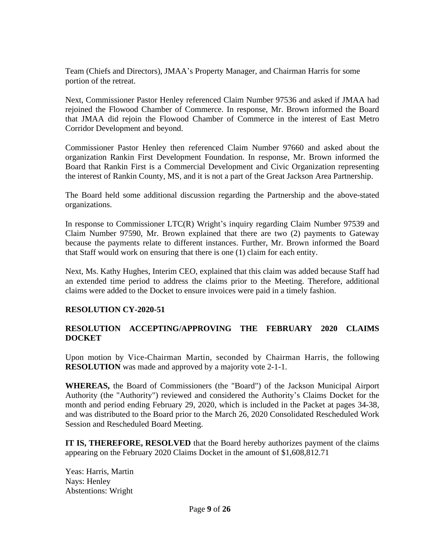Team (Chiefs and Directors), JMAA's Property Manager, and Chairman Harris for some portion of the retreat.

Next, Commissioner Pastor Henley referenced Claim Number 97536 and asked if JMAA had rejoined the Flowood Chamber of Commerce. In response, Mr. Brown informed the Board that JMAA did rejoin the Flowood Chamber of Commerce in the interest of East Metro Corridor Development and beyond.

Commissioner Pastor Henley then referenced Claim Number 97660 and asked about the organization Rankin First Development Foundation. In response, Mr. Brown informed the Board that Rankin First is a Commercial Development and Civic Organization representing the interest of Rankin County, MS, and it is not a part of the Great Jackson Area Partnership.

The Board held some additional discussion regarding the Partnership and the above-stated organizations.

In response to Commissioner LTC(R) Wright's inquiry regarding Claim Number 97539 and Claim Number 97590, Mr. Brown explained that there are two (2) payments to Gateway because the payments relate to different instances. Further, Mr. Brown informed the Board that Staff would work on ensuring that there is one (1) claim for each entity.

Next, Ms. Kathy Hughes, Interim CEO, explained that this claim was added because Staff had an extended time period to address the claims prior to the Meeting. Therefore, additional claims were added to the Docket to ensure invoices were paid in a timely fashion.

### **RESOLUTION CY-2020-51**

## **RESOLUTION ACCEPTING/APPROVING THE FEBRUARY 2020 CLAIMS DOCKET**

Upon motion by Vice-Chairman Martin, seconded by Chairman Harris, the following **RESOLUTION** was made and approved by a majority vote 2-1-1.

**WHEREAS,** the Board of Commissioners (the "Board") of the Jackson Municipal Airport Authority (the "Authority") reviewed and considered the Authority's Claims Docket for the month and period ending February 29, 2020, which is included in the Packet at pages 34-38, and was distributed to the Board prior to the March 26, 2020 Consolidated Rescheduled Work Session and Rescheduled Board Meeting.

**IT IS, THEREFORE, RESOLVED** that the Board hereby authorizes payment of the claims appearing on the February 2020 Claims Docket in the amount of \$1,608,812.71

Yeas: Harris, Martin Nays: Henley Abstentions: Wright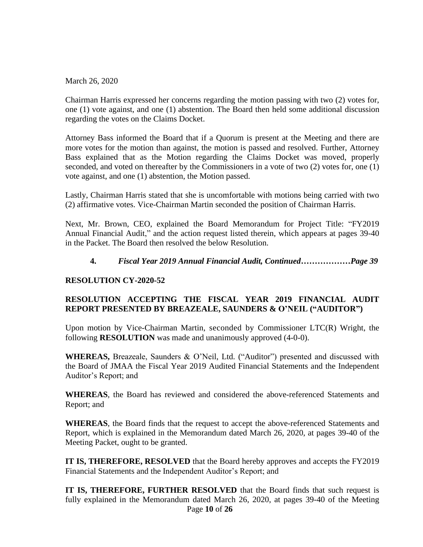March 26, 2020

Chairman Harris expressed her concerns regarding the motion passing with two (2) votes for, one (1) vote against, and one (1) abstention. The Board then held some additional discussion regarding the votes on the Claims Docket.

Attorney Bass informed the Board that if a Quorum is present at the Meeting and there are more votes for the motion than against, the motion is passed and resolved. Further, Attorney Bass explained that as the Motion regarding the Claims Docket was moved, properly seconded, and voted on thereafter by the Commissioners in a vote of two (2) votes for, one (1) vote against, and one (1) abstention, the Motion passed.

Lastly, Chairman Harris stated that she is uncomfortable with motions being carried with two (2) affirmative votes. Vice-Chairman Martin seconded the position of Chairman Harris.

Next, Mr. Brown, CEO, explained the Board Memorandum for Project Title: "FY2019 Annual Financial Audit," and the action request listed therein, which appears at pages 39-40 in the Packet. The Board then resolved the below Resolution.

## **4.** *Fiscal Year 2019 Annual Financial Audit, Continued………………Page 39*

### **RESOLUTION CY-2020-52**

# **RESOLUTION ACCEPTING THE FISCAL YEAR 2019 FINANCIAL AUDIT REPORT PRESENTED BY BREAZEALE, SAUNDERS & O'NEIL ("AUDITOR")**

Upon motion by Vice-Chairman Martin, seconded by Commissioner LTC(R) Wright, the following **RESOLUTION** was made and unanimously approved (4-0-0).

**WHEREAS,** Breazeale, Saunders & O'Neil, Ltd. ("Auditor") presented and discussed with the Board of JMAA the Fiscal Year 2019 Audited Financial Statements and the Independent Auditor's Report; and

**WHEREAS**, the Board has reviewed and considered the above-referenced Statements and Report; and

**WHEREAS**, the Board finds that the request to accept the above-referenced Statements and Report, which is explained in the Memorandum dated March 26, 2020, at pages 39-40 of the Meeting Packet, ought to be granted.

**IT IS, THEREFORE, RESOLVED** that the Board hereby approves and accepts the FY2019 Financial Statements and the Independent Auditor's Report; and

Page **10** of **26 IT IS, THEREFORE, FURTHER RESOLVED** that the Board finds that such request is fully explained in the Memorandum dated March 26, 2020, at pages 39-40 of the Meeting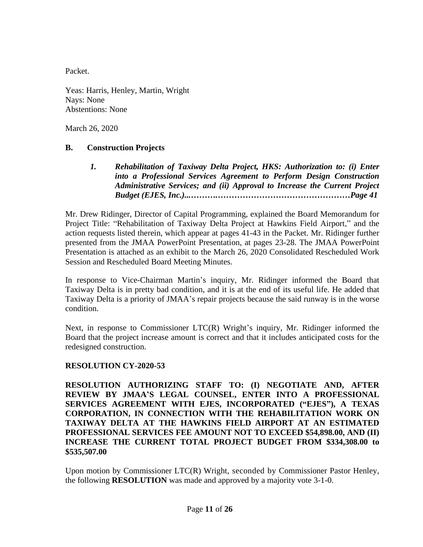Packet.

Yeas: Harris, Henley, Martin, Wright Nays: None Abstentions: None

March 26, 2020

### **B. Construction Projects**

*1. Rehabilitation of Taxiway Delta Project, HKS: Authorization to: (i) Enter into a Professional Services Agreement to Perform Design Construction Administrative Services; and (ii) Approval to Increase the Current Project Budget (EJES, Inc.)...……….…………………………………………Page 41*

Mr. Drew Ridinger, Director of Capital Programming, explained the Board Memorandum for Project Title: "Rehabilitation of Taxiway Delta Project at Hawkins Field Airport," and the action requests listed therein, which appear at pages 41-43 in the Packet. Mr. Ridinger further presented from the JMAA PowerPoint Presentation, at pages 23-28. The JMAA PowerPoint Presentation is attached as an exhibit to the March 26, 2020 Consolidated Rescheduled Work Session and Rescheduled Board Meeting Minutes.

In response to Vice-Chairman Martin's inquiry, Mr. Ridinger informed the Board that Taxiway Delta is in pretty bad condition, and it is at the end of its useful life. He added that Taxiway Delta is a priority of JMAA's repair projects because the said runway is in the worse condition.

Next, in response to Commissioner LTC(R) Wright's inquiry, Mr. Ridinger informed the Board that the project increase amount is correct and that it includes anticipated costs for the redesigned construction.

### **RESOLUTION CY-2020-53**

**RESOLUTION AUTHORIZING STAFF TO: (I) NEGOTIATE AND, AFTER REVIEW BY JMAA'S LEGAL COUNSEL, ENTER INTO A PROFESSIONAL SERVICES AGREEMENT WITH EJES, INCORPORATED ("EJES"), A TEXAS CORPORATION, IN CONNECTION WITH THE REHABILITATION WORK ON TAXIWAY DELTA AT THE HAWKINS FIELD AIRPORT AT AN ESTIMATED PROFESSIONAL SERVICES FEE AMOUNT NOT TO EXCEED \$54,898.00, AND (II) INCREASE THE CURRENT TOTAL PROJECT BUDGET FROM \$334,308.00 to \$535,507.00**

Upon motion by Commissioner LTC(R) Wright, seconded by Commissioner Pastor Henley, the following **RESOLUTION** was made and approved by a majority vote 3-1-0.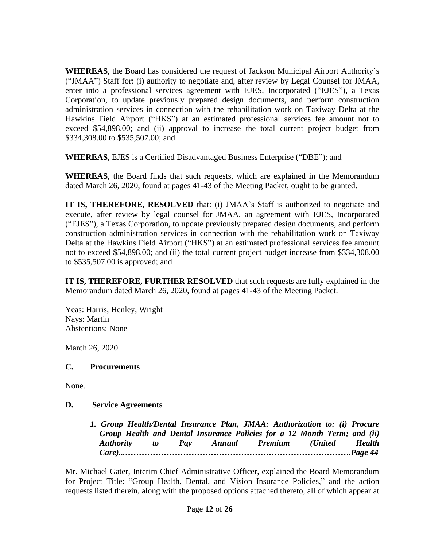**WHEREAS**, the Board has considered the request of Jackson Municipal Airport Authority's ("JMAA") Staff for: (i) authority to negotiate and, after review by Legal Counsel for JMAA, enter into a professional services agreement with EJES, Incorporated ("EJES"), a Texas Corporation, to update previously prepared design documents, and perform construction administration services in connection with the rehabilitation work on Taxiway Delta at the Hawkins Field Airport ("HKS") at an estimated professional services fee amount not to exceed \$54,898.00; and (ii) approval to increase the total current project budget from \$334,308.00 to \$535,507.00; and

**WHEREAS**, EJES is a Certified Disadvantaged Business Enterprise ("DBE"); and

**WHEREAS**, the Board finds that such requests, which are explained in the Memorandum dated March 26, 2020, found at pages 41-43 of the Meeting Packet, ought to be granted.

**IT IS, THEREFORE, RESOLVED** that: (i) JMAA's Staff is authorized to negotiate and execute, after review by legal counsel for JMAA, an agreement with EJES, Incorporated ("EJES"), a Texas Corporation, to update previously prepared design documents, and perform construction administration services in connection with the rehabilitation work on Taxiway Delta at the Hawkins Field Airport ("HKS") at an estimated professional services fee amount not to exceed \$54,898.00; and (ii) the total current project budget increase from \$334,308.00 to \$535,507.00 is approved; and

**IT IS, THEREFORE, FURTHER RESOLVED** that such requests are fully explained in the Memorandum dated March 26, 2020, found at pages 41-43 of the Meeting Packet.

Yeas: Harris, Henley, Wright Nays: Martin Abstentions: None

March 26, 2020

### **C. Procurements**

None.

### **D. Service Agreements**

*1. Group Health/Dental Insurance Plan, JMAA: Authorization to: (i) Procure Group Health and Dental Insurance Policies for a 12 Month Term; and (ii) Authority to Pay Annual Premium (United Health Care)...……………………………………………………………………….Page 44*

Mr. Michael Gater, Interim Chief Administrative Officer, explained the Board Memorandum for Project Title: "Group Health, Dental, and Vision Insurance Policies," and the action requests listed therein, along with the proposed options attached thereto, all of which appear at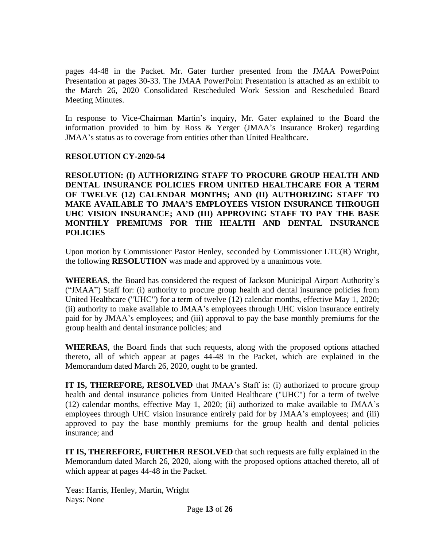pages 44-48 in the Packet. Mr. Gater further presented from the JMAA PowerPoint Presentation at pages 30-33. The JMAA PowerPoint Presentation is attached as an exhibit to the March 26, 2020 Consolidated Rescheduled Work Session and Rescheduled Board Meeting Minutes.

In response to Vice-Chairman Martin's inquiry, Mr. Gater explained to the Board the information provided to him by Ross & Yerger (JMAA's Insurance Broker) regarding JMAA's status as to coverage from entities other than United Healthcare.

### **RESOLUTION CY-2020-54**

**RESOLUTION: (I) AUTHORIZING STAFF TO PROCURE GROUP HEALTH AND DENTAL INSURANCE POLICIES FROM UNITED HEALTHCARE FOR A TERM OF TWELVE (12) CALENDAR MONTHS; AND (II) AUTHORIZING STAFF TO MAKE AVAILABLE TO JMAA'S EMPLOYEES VISION INSURANCE THROUGH UHC VISION INSURANCE; AND (III) APPROVING STAFF TO PAY THE BASE MONTHLY PREMIUMS FOR THE HEALTH AND DENTAL INSURANCE POLICIES**

Upon motion by Commissioner Pastor Henley, seconded by Commissioner LTC(R) Wright, the following **RESOLUTION** was made and approved by a unanimous vote.

**WHEREAS**, the Board has considered the request of Jackson Municipal Airport Authority's ("JMAA") Staff for: (i) authority to procure group health and dental insurance policies from United Healthcare ("UHC") for a term of twelve (12) calendar months, effective May 1, 2020; (ii) authority to make available to JMAA's employees through UHC vision insurance entirely paid for by JMAA's employees; and (iii) approval to pay the base monthly premiums for the group health and dental insurance policies; and

**WHEREAS**, the Board finds that such requests, along with the proposed options attached thereto, all of which appear at pages 44-48 in the Packet, which are explained in the Memorandum dated March 26, 2020, ought to be granted.

**IT IS, THEREFORE, RESOLVED** that JMAA's Staff is: (i) authorized to procure group health and dental insurance policies from United Healthcare ("UHC") for a term of twelve (12) calendar months, effective May 1, 2020; (ii) authorized to make available to JMAA's employees through UHC vision insurance entirely paid for by JMAA's employees; and (iii) approved to pay the base monthly premiums for the group health and dental policies insurance; and

**IT IS, THEREFORE, FURTHER RESOLVED** that such requests are fully explained in the Memorandum dated March 26, 2020, along with the proposed options attached thereto, all of which appear at pages 44-48 in the Packet.

Yeas: Harris, Henley, Martin, Wright Nays: None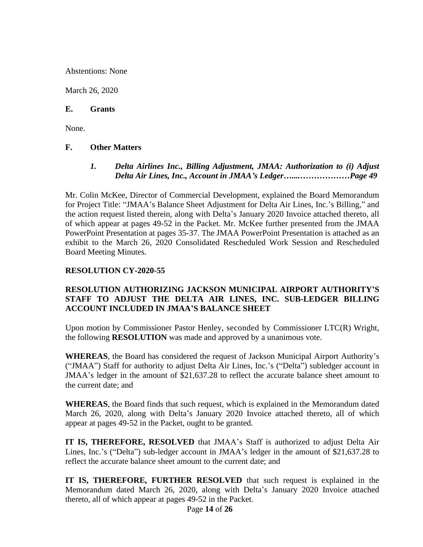Abstentions: None

March 26, 2020

#### **E. Grants**

None.

#### **F. Other Matters**

*1. Delta Airlines Inc., Billing Adjustment, JMAA: Authorization to (i) Adjust Delta Air Lines, Inc., Account in JMAA's Ledger…....………………Page 49*

Mr. Colin McKee, Director of Commercial Development, explained the Board Memorandum for Project Title: "JMAA's Balance Sheet Adjustment for Delta Air Lines, Inc.'s Billing," and the action request listed therein, along with Delta's January 2020 Invoice attached thereto, all of which appear at pages 49-52 in the Packet. Mr. McKee further presented from the JMAA PowerPoint Presentation at pages 35-37. The JMAA PowerPoint Presentation is attached as an exhibit to the March 26, 2020 Consolidated Rescheduled Work Session and Rescheduled Board Meeting Minutes.

#### **RESOLUTION CY-2020-55**

### **RESOLUTION AUTHORIZING JACKSON MUNICIPAL AIRPORT AUTHORITY'S STAFF TO ADJUST THE DELTA AIR LINES, INC. SUB-LEDGER BILLING ACCOUNT INCLUDED IN JMAA'S BALANCE SHEET**

Upon motion by Commissioner Pastor Henley, seconded by Commissioner LTC(R) Wright, the following **RESOLUTION** was made and approved by a unanimous vote.

**WHEREAS**, the Board has considered the request of Jackson Municipal Airport Authority's ("JMAA") Staff for authority to adjust Delta Air Lines, Inc.'s ("Delta") subledger account in JMAA's ledger in the amount of \$21,637.28 to reflect the accurate balance sheet amount to the current date; and

**WHEREAS**, the Board finds that such request, which is explained in the Memorandum dated March 26, 2020, along with Delta's January 2020 Invoice attached thereto, all of which appear at pages 49-52 in the Packet, ought to be granted.

**IT IS, THEREFORE, RESOLVED** that JMAA's Staff is authorized to adjust Delta Air Lines, Inc.'s ("Delta") sub-ledger account in JMAA's ledger in the amount of \$21,637.28 to reflect the accurate balance sheet amount to the current date; and

**IT IS, THEREFORE, FURTHER RESOLVED** that such request is explained in the Memorandum dated March 26, 2020, along with Delta's January 2020 Invoice attached thereto, all of which appear at pages 49-52 in the Packet.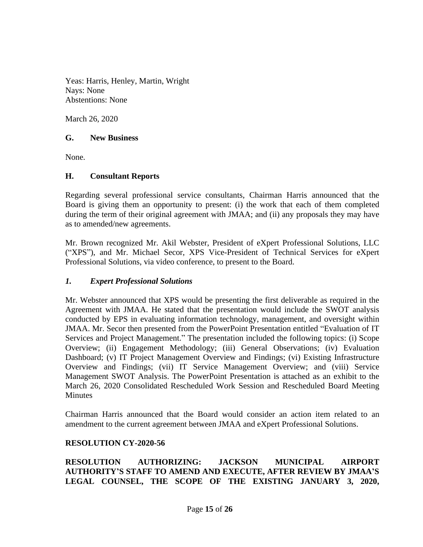Yeas: Harris, Henley, Martin, Wright Nays: None Abstentions: None

March 26, 2020

#### **G. New Business**

None.

### **H. Consultant Reports**

Regarding several professional service consultants, Chairman Harris announced that the Board is giving them an opportunity to present: (i) the work that each of them completed during the term of their original agreement with JMAA; and (ii) any proposals they may have as to amended/new agreements.

Mr. Brown recognized Mr. Akil Webster, President of eXpert Professional Solutions, LLC ("XPS"), and Mr. Michael Secor, XPS Vice-President of Technical Services for eXpert Professional Solutions, via video conference, to present to the Board.

### *1. Expert Professional Solutions*

Mr. Webster announced that XPS would be presenting the first deliverable as required in the Agreement with JMAA. He stated that the presentation would include the SWOT analysis conducted by EPS in evaluating information technology, management, and oversight within JMAA. Mr. Secor then presented from the PowerPoint Presentation entitled "Evaluation of IT Services and Project Management." The presentation included the following topics: (i) Scope Overview; (ii) Engagement Methodology; (iii) General Observations; (iv) Evaluation Dashboard; (v) IT Project Management Overview and Findings; (vi) Existing Infrastructure Overview and Findings; (vii) IT Service Management Overview; and (viii) Service Management SWOT Analysis. The PowerPoint Presentation is attached as an exhibit to the March 26, 2020 Consolidated Rescheduled Work Session and Rescheduled Board Meeting Minutes

Chairman Harris announced that the Board would consider an action item related to an amendment to the current agreement between JMAA and eXpert Professional Solutions.

### **RESOLUTION CY-2020-56**

**RESOLUTION AUTHORIZING: JACKSON MUNICIPAL AIRPORT AUTHORITY'S STAFF TO AMEND AND EXECUTE, AFTER REVIEW BY JMAA'S LEGAL COUNSEL, THE SCOPE OF THE EXISTING JANUARY 3, 2020,**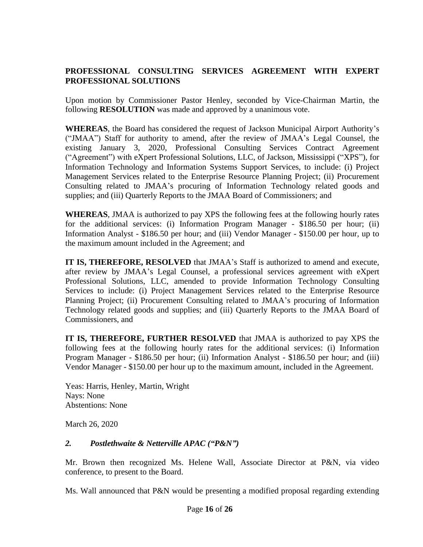## **PROFESSIONAL CONSULTING SERVICES AGREEMENT WITH EXPERT PROFESSIONAL SOLUTIONS**

Upon motion by Commissioner Pastor Henley, seconded by Vice-Chairman Martin, the following **RESOLUTION** was made and approved by a unanimous vote.

**WHEREAS**, the Board has considered the request of Jackson Municipal Airport Authority's ("JMAA") Staff for authority to amend, after the review of JMAA's Legal Counsel, the existing January 3, 2020, Professional Consulting Services Contract Agreement ("Agreement") with eXpert Professional Solutions, LLC, of Jackson, Mississippi ("XPS"), for Information Technology and Information Systems Support Services, to include: (i) Project Management Services related to the Enterprise Resource Planning Project; (ii) Procurement Consulting related to JMAA's procuring of Information Technology related goods and supplies; and (iii) Quarterly Reports to the JMAA Board of Commissioners; and

**WHEREAS**, JMAA is authorized to pay XPS the following fees at the following hourly rates for the additional services: (i) Information Program Manager - \$186.50 per hour; (ii) Information Analyst - \$186.50 per hour; and (iii) Vendor Manager - \$150.00 per hour, up to the maximum amount included in the Agreement; and

**IT IS, THEREFORE, RESOLVED** that JMAA's Staff is authorized to amend and execute, after review by JMAA's Legal Counsel, a professional services agreement with eXpert Professional Solutions, LLC, amended to provide Information Technology Consulting Services to include: (i) Project Management Services related to the Enterprise Resource Planning Project; (ii) Procurement Consulting related to JMAA's procuring of Information Technology related goods and supplies; and (iii) Quarterly Reports to the JMAA Board of Commissioners, and

**IT IS, THEREFORE, FURTHER RESOLVED** that JMAA is authorized to pay XPS the following fees at the following hourly rates for the additional services: (i) Information Program Manager - \$186.50 per hour; (ii) Information Analyst - \$186.50 per hour; and (iii) Vendor Manager - \$150.00 per hour up to the maximum amount, included in the Agreement.

Yeas: Harris, Henley, Martin, Wright Nays: None Abstentions: None

March 26, 2020

### *2. Postlethwaite & Netterville APAC ("P&N")*

Mr. Brown then recognized Ms. Helene Wall, Associate Director at P&N, via video conference, to present to the Board.

Ms. Wall announced that P&N would be presenting a modified proposal regarding extending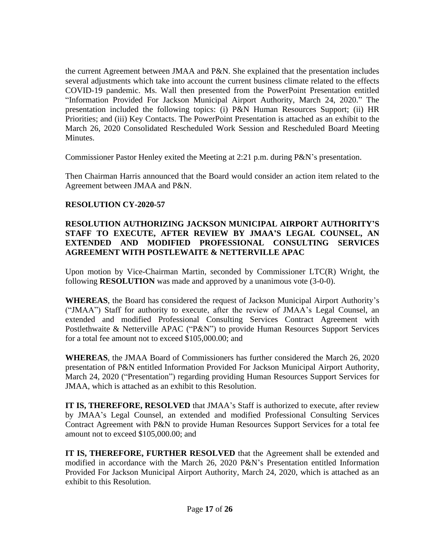the current Agreement between JMAA and P&N. She explained that the presentation includes several adjustments which take into account the current business climate related to the effects COVID-19 pandemic. Ms. Wall then presented from the PowerPoint Presentation entitled "Information Provided For Jackson Municipal Airport Authority, March 24, 2020." The presentation included the following topics: (i) P&N Human Resources Support; (ii) HR Priorities; and (iii) Key Contacts. The PowerPoint Presentation is attached as an exhibit to the March 26, 2020 Consolidated Rescheduled Work Session and Rescheduled Board Meeting Minutes.

Commissioner Pastor Henley exited the Meeting at 2:21 p.m. during P&N's presentation.

Then Chairman Harris announced that the Board would consider an action item related to the Agreement between JMAA and P&N.

### **RESOLUTION CY-2020-57**

## **RESOLUTION AUTHORIZING JACKSON MUNICIPAL AIRPORT AUTHORITY'S STAFF TO EXECUTE, AFTER REVIEW BY JMAA'S LEGAL COUNSEL, AN EXTENDED AND MODIFIED PROFESSIONAL CONSULTING SERVICES AGREEMENT WITH POSTLEWAITE & NETTERVILLE APAC**

Upon motion by Vice-Chairman Martin, seconded by Commissioner LTC(R) Wright, the following **RESOLUTION** was made and approved by a unanimous vote (3-0-0).

**WHEREAS**, the Board has considered the request of Jackson Municipal Airport Authority's ("JMAA") Staff for authority to execute, after the review of JMAA's Legal Counsel, an extended and modified Professional Consulting Services Contract Agreement with Postlethwaite & Netterville APAC ("P&N") to provide Human Resources Support Services for a total fee amount not to exceed \$105,000.00; and

**WHEREAS**, the JMAA Board of Commissioners has further considered the March 26, 2020 presentation of P&N entitled Information Provided For Jackson Municipal Airport Authority, March 24, 2020 ("Presentation") regarding providing Human Resources Support Services for JMAA, which is attached as an exhibit to this Resolution.

**IT IS, THEREFORE, RESOLVED** that JMAA's Staff is authorized to execute, after review by JMAA's Legal Counsel, an extended and modified Professional Consulting Services Contract Agreement with P&N to provide Human Resources Support Services for a total fee amount not to exceed \$105,000.00; and

**IT IS, THEREFORE, FURTHER RESOLVED** that the Agreement shall be extended and modified in accordance with the March 26, 2020 P&N's Presentation entitled Information Provided For Jackson Municipal Airport Authority, March 24, 2020, which is attached as an exhibit to this Resolution.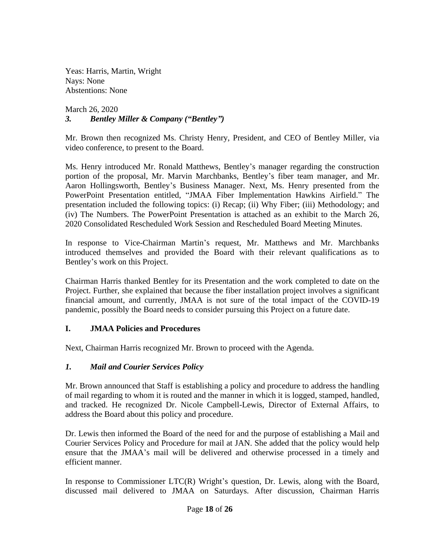Yeas: Harris, Martin, Wright Nays: None Abstentions: None

March 26, 2020  *3. Bentley Miller & Company ("Bentley")*

Mr. Brown then recognized Ms. Christy Henry, President, and CEO of Bentley Miller, via video conference, to present to the Board.

Ms. Henry introduced Mr. Ronald Matthews, Bentley's manager regarding the construction portion of the proposal, Mr. Marvin Marchbanks, Bentley's fiber team manager, and Mr. Aaron Hollingsworth, Bentley's Business Manager. Next, Ms. Henry presented from the PowerPoint Presentation entitled, "JMAA Fiber Implementation Hawkins Airfield." The presentation included the following topics: (i) Recap; (ii) Why Fiber; (iii) Methodology; and (iv) The Numbers. The PowerPoint Presentation is attached as an exhibit to the March 26, 2020 Consolidated Rescheduled Work Session and Rescheduled Board Meeting Minutes.

In response to Vice-Chairman Martin's request, Mr. Matthews and Mr. Marchbanks introduced themselves and provided the Board with their relevant qualifications as to Bentley's work on this Project.

Chairman Harris thanked Bentley for its Presentation and the work completed to date on the Project. Further, she explained that because the fiber installation project involves a significant financial amount, and currently, JMAA is not sure of the total impact of the COVID-19 pandemic, possibly the Board needs to consider pursuing this Project on a future date.

### **I. JMAA Policies and Procedures**

Next, Chairman Harris recognized Mr. Brown to proceed with the Agenda.

### *1. Mail and Courier Services Policy*

Mr. Brown announced that Staff is establishing a policy and procedure to address the handling of mail regarding to whom it is routed and the manner in which it is logged, stamped, handled, and tracked. He recognized Dr. Nicole Campbell-Lewis, Director of External Affairs, to address the Board about this policy and procedure.

Dr. Lewis then informed the Board of the need for and the purpose of establishing a Mail and Courier Services Policy and Procedure for mail at JAN. She added that the policy would help ensure that the JMAA's mail will be delivered and otherwise processed in a timely and efficient manner.

In response to Commissioner LTC(R) Wright's question, Dr. Lewis, along with the Board, discussed mail delivered to JMAA on Saturdays. After discussion, Chairman Harris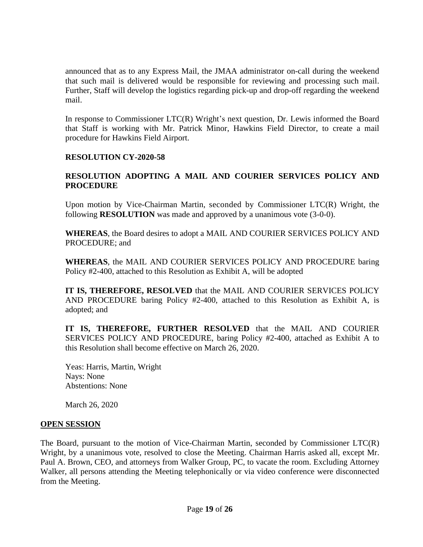announced that as to any Express Mail, the JMAA administrator on-call during the weekend that such mail is delivered would be responsible for reviewing and processing such mail. Further, Staff will develop the logistics regarding pick-up and drop-off regarding the weekend mail.

In response to Commissioner LTC(R) Wright's next question, Dr. Lewis informed the Board that Staff is working with Mr. Patrick Minor, Hawkins Field Director, to create a mail procedure for Hawkins Field Airport.

### **RESOLUTION CY-2020-58**

## **RESOLUTION ADOPTING A MAIL AND COURIER SERVICES POLICY AND PROCEDURE**

Upon motion by Vice-Chairman Martin, seconded by Commissioner LTC(R) Wright, the following **RESOLUTION** was made and approved by a unanimous vote (3-0-0).

**WHEREAS**, the Board desires to adopt a MAIL AND COURIER SERVICES POLICY AND PROCEDURE; and

**WHEREAS**, the MAIL AND COURIER SERVICES POLICY AND PROCEDURE baring Policy #2-400, attached to this Resolution as Exhibit A, will be adopted

**IT IS, THEREFORE, RESOLVED** that the MAIL AND COURIER SERVICES POLICY AND PROCEDURE baring Policy #2-400, attached to this Resolution as Exhibit A, is adopted; and

**IT IS, THEREFORE, FURTHER RESOLVED** that the MAIL AND COURIER SERVICES POLICY AND PROCEDURE, baring Policy #2-400, attached as Exhibit A to this Resolution shall become effective on March 26, 2020.

Yeas: Harris, Martin, Wright Nays: None Abstentions: None

March 26, 2020

#### **OPEN SESSION**

The Board, pursuant to the motion of Vice-Chairman Martin, seconded by Commissioner LTC(R) Wright, by a unanimous vote, resolved to close the Meeting. Chairman Harris asked all, except Mr. Paul A. Brown, CEO, and attorneys from Walker Group, PC, to vacate the room. Excluding Attorney Walker, all persons attending the Meeting telephonically or via video conference were disconnected from the Meeting.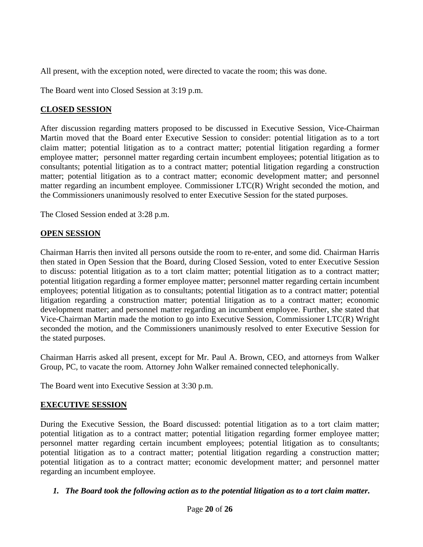All present, with the exception noted, were directed to vacate the room; this was done.

The Board went into Closed Session at 3:19 p.m.

# **CLOSED SESSION**

After discussion regarding matters proposed to be discussed in Executive Session, Vice-Chairman Martin moved that the Board enter Executive Session to consider: potential litigation as to a tort claim matter; potential litigation as to a contract matter; potential litigation regarding a former employee matter; personnel matter regarding certain incumbent employees; potential litigation as to consultants; potential litigation as to a contract matter; potential litigation regarding a construction matter; potential litigation as to a contract matter; economic development matter; and personnel matter regarding an incumbent employee. Commissioner LTC(R) Wright seconded the motion, and the Commissioners unanimously resolved to enter Executive Session for the stated purposes.

The Closed Session ended at 3:28 p.m.

# **OPEN SESSION**

Chairman Harris then invited all persons outside the room to re-enter, and some did. Chairman Harris then stated in Open Session that the Board, during Closed Session, voted to enter Executive Session to discuss: potential litigation as to a tort claim matter; potential litigation as to a contract matter; potential litigation regarding a former employee matter; personnel matter regarding certain incumbent employees; potential litigation as to consultants; potential litigation as to a contract matter; potential litigation regarding a construction matter; potential litigation as to a contract matter; economic development matter; and personnel matter regarding an incumbent employee. Further, she stated that Vice-Chairman Martin made the motion to go into Executive Session, Commissioner LTC(R) Wright seconded the motion, and the Commissioners unanimously resolved to enter Executive Session for the stated purposes.

Chairman Harris asked all present, except for Mr. Paul A. Brown, CEO, and attorneys from Walker Group, PC, to vacate the room. Attorney John Walker remained connected telephonically.

The Board went into Executive Session at 3:30 p.m.

# **EXECUTIVE SESSION**

During the Executive Session, the Board discussed: potential litigation as to a tort claim matter; potential litigation as to a contract matter; potential litigation regarding former employee matter; personnel matter regarding certain incumbent employees; potential litigation as to consultants; potential litigation as to a contract matter; potential litigation regarding a construction matter; potential litigation as to a contract matter; economic development matter; and personnel matter regarding an incumbent employee.

# *1. The Board took the following action as to the potential litigation as to a tort claim matter.*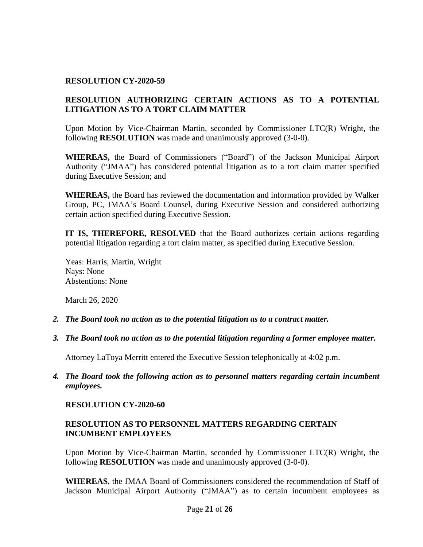#### **RESOLUTION CY-2020-59**

# **RESOLUTION AUTHORIZING CERTAIN ACTIONS AS TO A POTENTIAL LITIGATION AS TO A TORT CLAIM MATTER**

Upon Motion by Vice-Chairman Martin, seconded by Commissioner LTC(R) Wright, the following **RESOLUTION** was made and unanimously approved (3-0-0).

**WHEREAS,** the Board of Commissioners ("Board") of the Jackson Municipal Airport Authority ("JMAA") has considered potential litigation as to a tort claim matter specified during Executive Session; and

**WHEREAS,** the Board has reviewed the documentation and information provided by Walker Group, PC, JMAA's Board Counsel, during Executive Session and considered authorizing certain action specified during Executive Session.

**IT IS, THEREFORE, RESOLVED** that the Board authorizes certain actions regarding potential litigation regarding a tort claim matter, as specified during Executive Session.

Yeas: Harris, Martin, Wright Nays: None Abstentions: None

March 26, 2020

- *2. The Board took no action as to the potential litigation as to a contract matter.*
- *3. The Board took no action as to the potential litigation regarding a former employee matter.*

Attorney LaToya Merritt entered the Executive Session telephonically at 4:02 p.m.

*4. The Board took the following action as to personnel matters regarding certain incumbent employees.*

#### **RESOLUTION CY-2020-60**

#### **RESOLUTION AS TO PERSONNEL MATTERS REGARDING CERTAIN INCUMBENT EMPLOYEES**

Upon Motion by Vice-Chairman Martin, seconded by Commissioner LTC(R) Wright, the following **RESOLUTION** was made and unanimously approved (3-0-0).

**WHEREAS**, the JMAA Board of Commissioners considered the recommendation of Staff of Jackson Municipal Airport Authority ("JMAA") as to certain incumbent employees as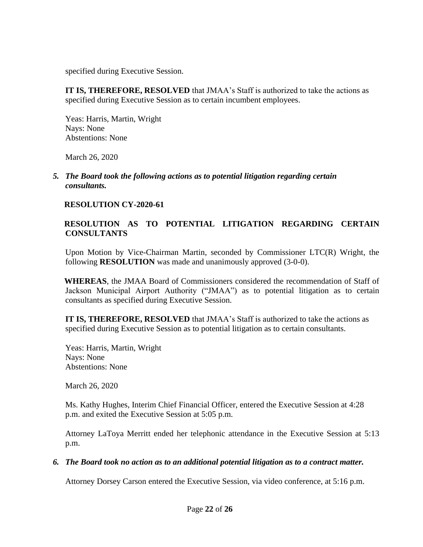specified during Executive Session.

**IT IS, THEREFORE, RESOLVED** that JMAA's Staff is authorized to take the actions as specified during Executive Session as to certain incumbent employees.

Yeas: Harris, Martin, Wright Nays: None Abstentions: None

March 26, 2020

*5. The Board took the following actions as to potential litigation regarding certain consultants.* 

## **RESOLUTION CY-2020-61**

## **RESOLUTION AS TO POTENTIAL LITIGATION REGARDING CERTAIN CONSULTANTS**

 Upon Motion by Vice-Chairman Martin, seconded by Commissioner LTC(R) Wright, the following **RESOLUTION** was made and unanimously approved (3-0-0).

 **WHEREAS**, the JMAA Board of Commissioners considered the recommendation of Staff of Jackson Municipal Airport Authority ("JMAA") as to potential litigation as to certain consultants as specified during Executive Session.

**IT IS, THEREFORE, RESOLVED** that JMAA's Staff is authorized to take the actions as specified during Executive Session as to potential litigation as to certain consultants.

Yeas: Harris, Martin, Wright Nays: None Abstentions: None

March 26, 2020

Ms. Kathy Hughes, Interim Chief Financial Officer, entered the Executive Session at 4:28 p.m. and exited the Executive Session at 5:05 p.m.

Attorney LaToya Merritt ended her telephonic attendance in the Executive Session at 5:13 p.m.

### *6. The Board took no action as to an additional potential litigation as to a contract matter.*

Attorney Dorsey Carson entered the Executive Session, via video conference, at 5:16 p.m.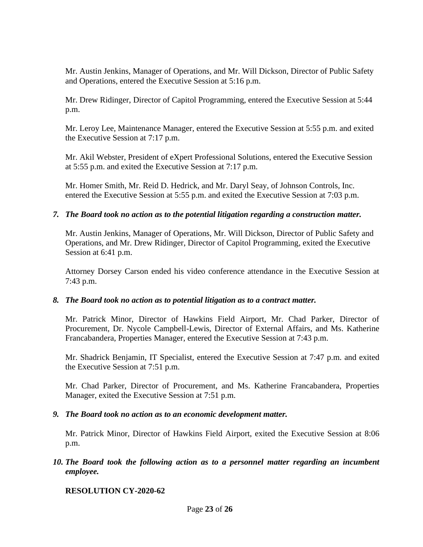Mr. Austin Jenkins, Manager of Operations, and Mr. Will Dickson, Director of Public Safety and Operations, entered the Executive Session at 5:16 p.m.

Mr. Drew Ridinger, Director of Capitol Programming, entered the Executive Session at 5:44 p.m.

Mr. Leroy Lee, Maintenance Manager, entered the Executive Session at 5:55 p.m. and exited the Executive Session at 7:17 p.m.

Mr. Akil Webster, President of eXpert Professional Solutions, entered the Executive Session at 5:55 p.m. and exited the Executive Session at 7:17 p.m.

Mr. Homer Smith, Mr. Reid D. Hedrick, and Mr. Daryl Seay, of Johnson Controls, Inc. entered the Executive Session at 5:55 p.m. and exited the Executive Session at 7:03 p.m.

#### *7. The Board took no action as to the potential litigation regarding a construction matter.*

Mr. Austin Jenkins, Manager of Operations, Mr. Will Dickson, Director of Public Safety and Operations, and Mr. Drew Ridinger, Director of Capitol Programming, exited the Executive Session at 6:41 p.m.

Attorney Dorsey Carson ended his video conference attendance in the Executive Session at 7:43 p.m.

#### *8. The Board took no action as to potential litigation as to a contract matter.*

Mr. Patrick Minor, Director of Hawkins Field Airport, Mr. Chad Parker, Director of Procurement, Dr. Nycole Campbell-Lewis, Director of External Affairs, and Ms. Katherine Francabandera, Properties Manager, entered the Executive Session at 7:43 p.m.

Mr. Shadrick Benjamin, IT Specialist, entered the Executive Session at 7:47 p.m. and exited the Executive Session at 7:51 p.m.

Mr. Chad Parker, Director of Procurement, and Ms. Katherine Francabandera, Properties Manager, exited the Executive Session at 7:51 p.m.

*9. The Board took no action as to an economic development matter.*

Mr. Patrick Minor, Director of Hawkins Field Airport, exited the Executive Session at 8:06 p.m.

*10. The Board took the following action as to a personnel matter regarding an incumbent employee.*

### **RESOLUTION CY-2020-62**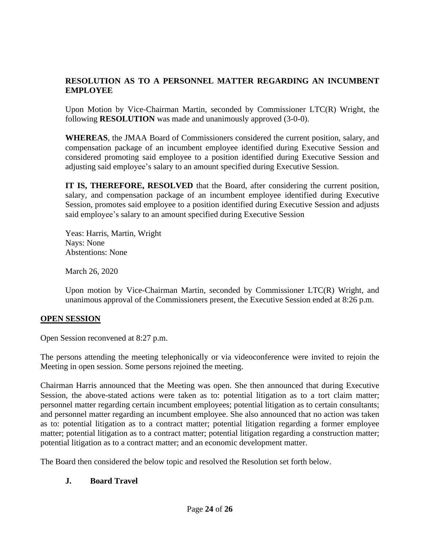# **RESOLUTION AS TO A PERSONNEL MATTER REGARDING AN INCUMBENT EMPLOYEE**

Upon Motion by Vice-Chairman Martin, seconded by Commissioner LTC(R) Wright, the following **RESOLUTION** was made and unanimously approved (3-0-0).

**WHEREAS**, the JMAA Board of Commissioners considered the current position, salary, and compensation package of an incumbent employee identified during Executive Session and considered promoting said employee to a position identified during Executive Session and adjusting said employee's salary to an amount specified during Executive Session.

**IT IS, THEREFORE, RESOLVED** that the Board, after considering the current position, salary, and compensation package of an incumbent employee identified during Executive Session, promotes said employee to a position identified during Executive Session and adjusts said employee's salary to an amount specified during Executive Session

Yeas: Harris, Martin, Wright Nays: None Abstentions: None

March 26, 2020

Upon motion by Vice-Chairman Martin, seconded by Commissioner LTC(R) Wright, and unanimous approval of the Commissioners present, the Executive Session ended at 8:26 p.m.

### **OPEN SESSION**

Open Session reconvened at 8:27 p.m.

The persons attending the meeting telephonically or via videoconference were invited to rejoin the Meeting in open session. Some persons rejoined the meeting.

Chairman Harris announced that the Meeting was open. She then announced that during Executive Session, the above-stated actions were taken as to: potential litigation as to a tort claim matter; personnel matter regarding certain incumbent employees; potential litigation as to certain consultants; and personnel matter regarding an incumbent employee. She also announced that no action was taken as to: potential litigation as to a contract matter; potential litigation regarding a former employee matter; potential litigation as to a contract matter; potential litigation regarding a construction matter; potential litigation as to a contract matter; and an economic development matter.

The Board then considered the below topic and resolved the Resolution set forth below.

# **J. Board Travel**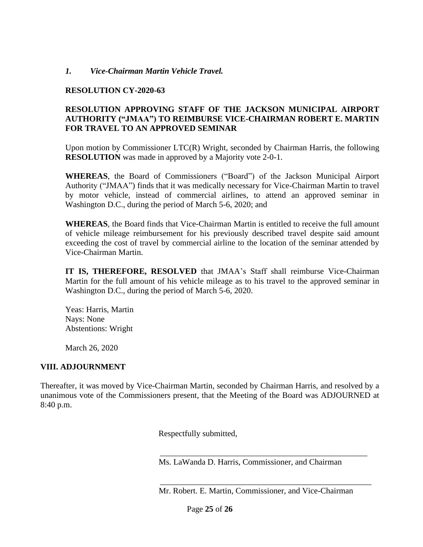#### *1. Vice-Chairman Martin Vehicle Travel.*

#### **RESOLUTION CY-2020-63**

#### **RESOLUTION APPROVING STAFF OF THE JACKSON MUNICIPAL AIRPORT AUTHORITY ("JMAA") TO REIMBURSE VICE-CHAIRMAN ROBERT E. MARTIN FOR TRAVEL TO AN APPROVED SEMINAR**

Upon motion by Commissioner LTC(R) Wright, seconded by Chairman Harris, the following **RESOLUTION** was made in approved by a Majority vote 2-0-1.

**WHEREAS**, the Board of Commissioners ("Board") of the Jackson Municipal Airport Authority ("JMAA") finds that it was medically necessary for Vice-Chairman Martin to travel by motor vehicle, instead of commercial airlines, to attend an approved seminar in Washington D.C., during the period of March 5-6, 2020; and

**WHEREAS**, the Board finds that Vice-Chairman Martin is entitled to receive the full amount of vehicle mileage reimbursement for his previously described travel despite said amount exceeding the cost of travel by commercial airline to the location of the seminar attended by Vice-Chairman Martin.

**IT IS, THEREFORE, RESOLVED** that JMAA's Staff shall reimburse Vice-Chairman Martin for the full amount of his vehicle mileage as to his travel to the approved seminar in Washington D.C., during the period of March 5-6, 2020.

Yeas: Harris, Martin Nays: None Abstentions: Wright

March 26, 2020

### **VIII. ADJOURNMENT**

Thereafter, it was moved by Vice-Chairman Martin, seconded by Chairman Harris, and resolved by a unanimous vote of the Commissioners present, that the Meeting of the Board was ADJOURNED at 8:40 p.m.

Respectfully submitted,

Ms. LaWanda D. Harris, Commissioner, and Chairman

\_\_\_\_\_\_\_\_\_\_\_\_\_\_\_\_\_\_\_\_\_\_\_\_\_\_\_\_\_\_\_\_\_\_\_\_\_\_\_\_\_\_\_\_\_\_\_\_\_\_

 \_\_\_\_\_\_\_\_\_\_\_\_\_\_\_\_\_\_\_\_\_\_\_\_\_\_\_\_\_\_\_\_\_\_\_\_\_\_\_\_\_\_\_\_\_\_\_\_\_\_\_ Mr. Robert. E. Martin, Commissioner, and Vice-Chairman